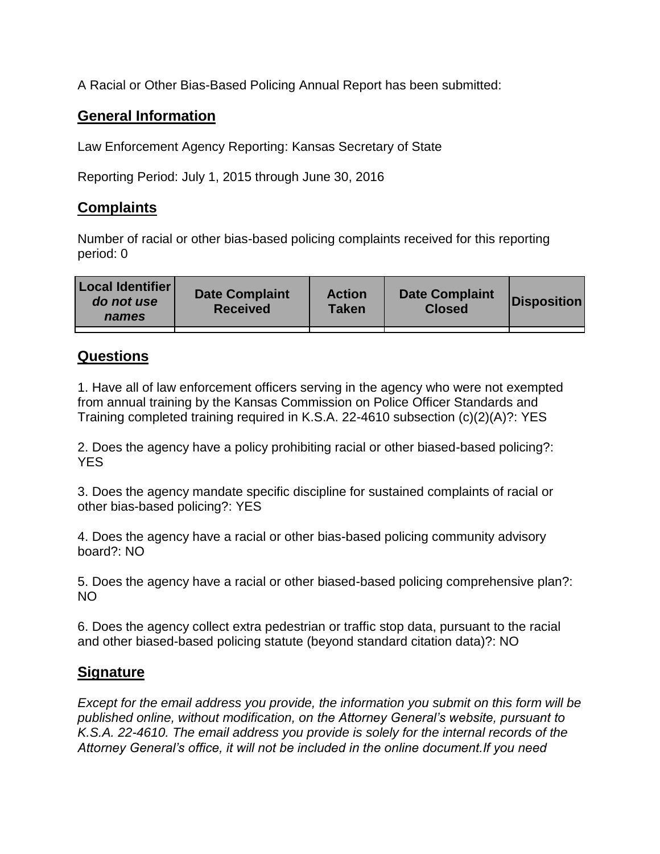A Racial or Other Bias-Based Policing Annual Report has been submitted:

## **General Information**

Law Enforcement Agency Reporting: Kansas Secretary of State

Reporting Period: July 1, 2015 through June 30, 2016

## **Complaints**

Number of racial or other bias-based policing complaints received for this reporting period: 0

| <b>Local Identifier</b><br>do not use<br>names | <b>Date Complaint</b><br><b>Received</b> | <b>Action</b><br><b>Taken</b> | <b>Date Complaint</b><br><b>Closed</b> | Disposition |
|------------------------------------------------|------------------------------------------|-------------------------------|----------------------------------------|-------------|
|                                                |                                          |                               |                                        |             |

## **Questions**

1. Have all of law enforcement officers serving in the agency who were not exempted from annual training by the Kansas Commission on Police Officer Standards and Training completed training required in K.S.A. 22-4610 subsection (c)(2)(A)?: YES

2. Does the agency have a policy prohibiting racial or other biased-based policing?: YES

3. Does the agency mandate specific discipline for sustained complaints of racial or other bias-based policing?: YES

4. Does the agency have a racial or other bias-based policing community advisory board?: NO

5. Does the agency have a racial or other biased-based policing comprehensive plan?: NO

6. Does the agency collect extra pedestrian or traffic stop data, pursuant to the racial and other biased-based policing statute (beyond standard citation data)?: NO

## **Signature**

*Except for the email address you provide, the information you submit on this form will be published online, without modification, on the Attorney General's website, pursuant to K.S.A. 22-4610. The email address you provide is solely for the internal records of the Attorney General's office, it will not be included in the online document.If you need*